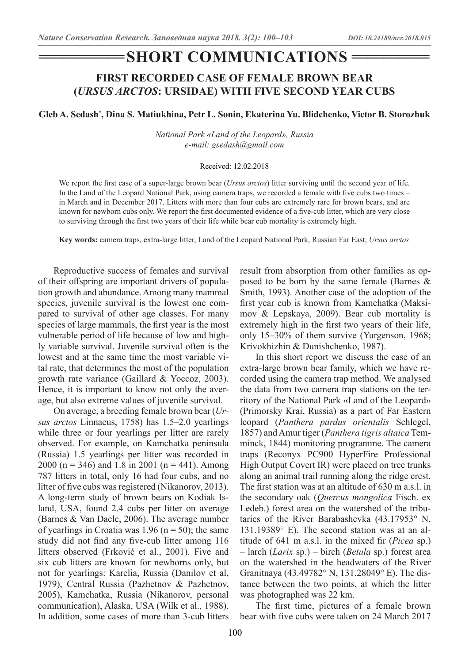# $\blacksquare$ SHORT COMMUNICATIONS =

### **FIRST RECORDED CASE OF FEMALE BROWN BEAR (***URSUS ARCTOS***: URSIDAE) WITH FIVE SECOND YEAR CUBS**

**Gleb A. Sedash\* , Dina S. Matiukhina, Petr L. Sonin, Ekaterina Yu. Blidchenko, Victor B. Storozhuk**

*National Park «Land of the Leopard», Russia e-mail: gsedash@gmail.com*

#### Received: 12.02.2018

We report the first case of a super-large brown bear *(Ursus arctos)* litter surviving until the second year of life. In the Land of the Leopard National Park, using camera traps, we recorded a female with five cubs two times – in March and in December 2017. Litters with more than four cubs are extremely rare for brown bears, and are known for newborn cubs only. We report the first documented evidence of a five-cub litter, which are very close to surviving through the first two years of their life while bear cub mortality is extremely high.

**Key words:** camera traps, extra-large litter, Land of the Leopard National Park, Russian Far East, *Ursus arctos*

Reproductive success of females and survival of their offspring are important drivers of population growth and abundance. Among many mammal species, juvenile survival is the lowest one compared to survival of other age classes. For many species of large mammals, the first year is the most vulnerable period of life because of low and highly variable survival. Juvenile survival often is the lowest and at the same time the most variable vital rate, that determines the most of the population growth rate variance (Gaillard & Yoccoz, 2003). Hence, it is important to know not only the average, but also extreme values of juvenile survival.

On average, a breeding female brown bear (*Ursus arctos* Linnaeus, 1758) has 1.5–2.0 yearlings while three or four yearlings per litter are rarely observed. For example, on Kamchatka peninsula (Russia) 1.5 yearlings per litter was recorded in 2000 (n = 346) and 1.8 in 2001 (n = 441). Among 787 litters in total, only 16 had four cubs, and no litter of five cubs was registered (Nikanorov, 2013). A long-term study of brown bears on Kodiak Island, USA, found 2.4 cubs per litter on average (Barnes & Van Daele, 2006). The average number of yearlings in Croatia was 1.96 ( $n = 50$ ); the same study did not find any five-cub litter among 116 litters observed (Frković et al., 2001). Five and six cub litters are known for newborns only, but not for yearlings: Karelia, Russia (Danilov et al, 1979), Central Russia (Pazhetnov & Pazhetnov, 2005), Kamchatka, Russia (Nikanorov, personal communication), Alaska, USA (Wilk et al., 1988). In addition, some cases of more than 3-cub litters result from absorption from other families as opposed to be born by the same female (Barnes & Smith, 1993). Another case of the adoption of the first year cub is known from Kamchatka (Maksimov & Lepskaya, 2009). Bear cub mortality is extremely high in the first two years of their life, only 15–30% of them survive (Yurgenson, 1968; Krivokhizhin & Dunishchenko, 1987).

In this short report we discuss the case of an extra-large brown bear family, which we have recorded using the camera trap method. We analysed the data from two camera trap stations on the territory of the National Park «Land of the Leopard» (Primorsky Krai, Russia) as a part of Far Eastern leopard (*Panthera pardus orientalis* Schlegel, 1857) and Amur tiger (*Panthera tigris altaica* Temminck, 1844) monitoring programme. The camera traps (Reconyx PC900 HyperFire Professional High Output Covert IR) were placed on tree trunks along an animal trail running along the ridge crest. The first station was at an altitude of 630 m a.s.l. in the secondary oak (*Quercus mongolica* Fisch. ex Ledeb.) forest area on the watershed of the tributaries of the River Barabashevka (43.17953° N, 131.19389° E). The second station was at an altitude of 641 m a.s.l. in the mixed fir (*Picea* sp.) – larch (*Larix* sp.) – birch (*Betula* sp.) forest area on the watershed in the headwaters of the River Granitnaya (43.49782° N, 131.28049° E). The distance between the two points, at which the litter was photographed was 22 km.

The first time, pictures of a female brown bear with five cubs were taken on 24 March 2017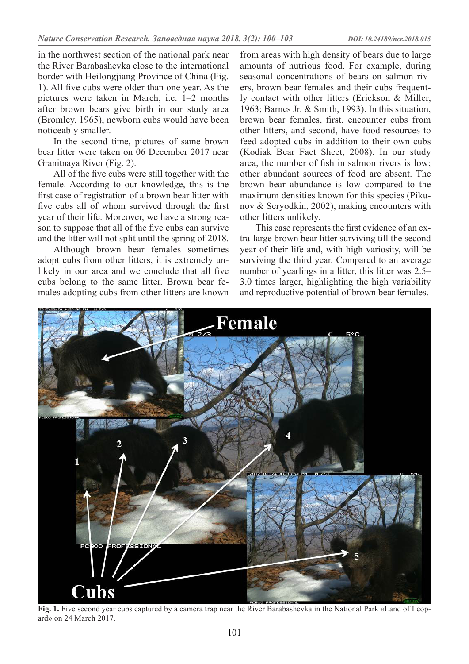in the northwest section of the national park near the River Barabashevka close to the international border with Heilongjiang Province of China (Fig. 1). All five cubs were older than one year. As the pictures were taken in March, i.e. 1–2 months after brown bears give birth in our study area (Bromley, 1965), newborn cubs would have been noticeably smaller.

In the second time, pictures of same brown bear litter were taken on 06 December 2017 near Granitnaya River (Fig. 2).

All of the five cubs were still together with the female. According to our knowledge, this is the first case of registration of a brown bear litter with five cubs all of whom survived through the first year of their life. Moreover, we have a strong reason to suppose that all of the five cubs can survive and the litter will not split until the spring of 2018.

Although brown bear females sometimes adopt cubs from other litters, it is extremely unlikely in our area and we conclude that all five cubs belong to the same litter. Brown bear females adopting cubs from other litters are known

from areas with high density of bears due to large amounts of nutrious food. For example, during seasonal concentrations of bears on salmon rivers, brown bear females and their cubs frequently contact with other litters (Erickson & Miller, 1963; Barnes Jr. & Smith, 1993). In this situation, brown bear females, first, encounter cubs from other litters, and second, have food resources to feed adopted cubs in addition to their own cubs (Kodiak Bear Fact Sheet, 2008). In our study area, the number of fish in salmon rivers is low; other abundant sources of food are absent. The brown bear abundance is low compared to the maximum densities known for this species (Pikunov & Seryodkin, 2002), making encounters with other litters unlikely.

This case represents the first evidence of an extra-large brown bear litter surviving till the second year of their life and, with high variosity, will be surviving the third year. Compared to an average number of yearlings in a litter, this litter was 2.5– 3.0 times larger, highlighting the high variability and reproductive potential of brown bear females.



**Fig. 1.** Five second year cubs captured by a camera trap near the River Barabashevka in the National Park «Land of Leopard» on 24 March 2017.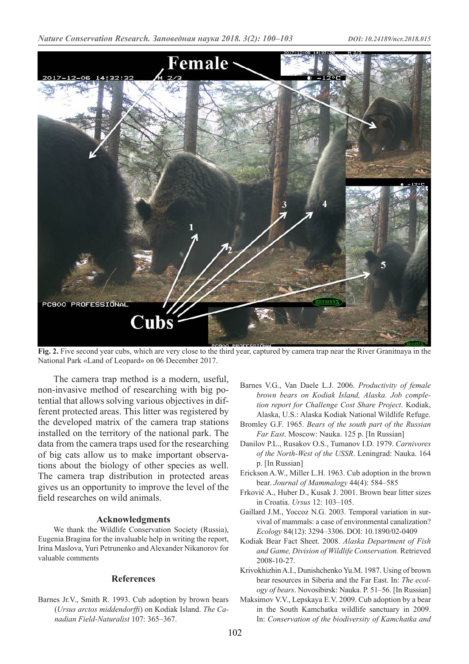

**Fig. 2.** Five second year cubs, which are very close to the third year, captured by camera trap near the River Granitnaya in the National Park «Land of Leopard» on 06 December 2017.

The camera trap method is a modern, useful, non-invasive method of researching with big potential that allows solving various objectives in different protected areas. This litter was registered by the developed matrix of the camera trap stations installed on the territory of the national park. The data from the camera traps used for the researching of big cats allow us to make important observations about the biology of other species as well. The camera trap distribution in protected areas gives us an opportunity to improve the level of the field researches on wild animals.

#### **Acknowledgments**

We thank the Wildlife Conservation Society (Russia), Eugenia Bragina for the invaluable help in writing the report, Irina Maslova, Yuri Petrunenko and Alexander Nikanorov for valuable comments

#### **References**

Barnes Jr.V., Smith R. 1993. Cub adoption by brown bears (*Ursus arctos middendorffi*) on Kodiak Island. *The Canadian Field-Naturalist* 107: 365–367.

- Barnes V.G., Van Daele L.J. 2006. *Productivity of female brown bears on Kodiak Island, Alaska. Job completion report for Challenge Cost Share Project*. Kodiak, Alaska, U.S.: Alaska Kodiak National Wildlife Refuge.
- Bromley G.F. 1965. *Bears of the south part of the Russian Far East*. Moscow: Nauka. 125 p. [In Russian]
- Danilov P.L., Rusakov O.S., Tumanov I.D. 1979. *Carnivores of the North-West of the USSR*. Leningrad: Nauka. 164 p. [In Russian]
- Erickson A.W., Miller L.H. 1963. Cub adoption in the brown bear. *Journal of Mammalogy* 44(4): 584–585
- Frković A., Huber D., Kusak J. 2001. Brown bear litter sizes in Croatia. *Ursus* 12: 103–105.
- Gaillard J.M., Yoccoz N.G. 2003. Temporal variation in survival of mammals: a case of environmental canalization? *Ecology* 84(12): 3294–3306. DOI: 10.1890/02-0409
- Kodiak Bear Fact Sheet. 2008. *Alaska Department of Fish and Game, Division of Wildlife Conservation.* Retrieved 2008-10-27.
- Krivokhizhin A.I., Dunishchenko Yu.M. 1987. Using of brown bear resources in Siberia and the Far East. In: *The ecology of bears*. Novosibirsk: Nauka. P. 51–56. [In Russian]
- Maksimov V.V., Lepskaya E.V. 2009. Cub adoption by a bear in the South Kamchatka wildlife sanctuary in 2009. In: *Conservation of the biodiversity of Kamchatka and*